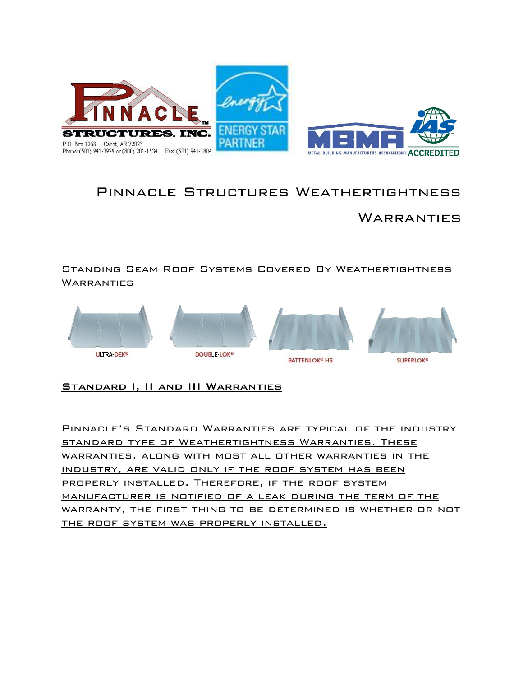

# Pinnacle Structures Weathertightness

## **WARRANTIES**

### Standing Seam Roof Systems Covered By Weathertightness **WARRANTIES**



### Standard I, II and III Warranties

Pinnacle's Standard Warranties are typical of the industry standard type of Weathertightness Warranties. These warranties, along with most all other warranties in the industry, are valid only if the roof system has been properly installed. Therefore, if the roof system manufacturer is notified of a leak during the term of the warranty, the first thing to be determined is whether or not the roof system was properly installed.